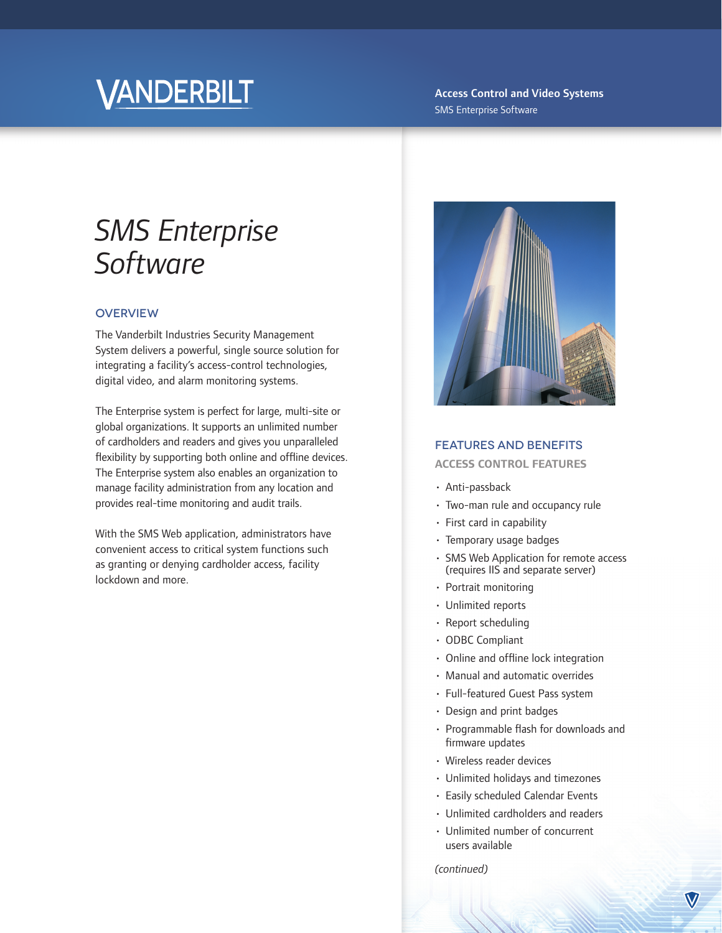# VANDERBILT

#### Access Control and Video Systems SMS Enterprise Software

## *SMS Enterprise Software*

#### **OVERVIEW**

The Vanderbilt Industries Security Management System delivers a powerful, single source solution for integrating a facility's access-control technologies, digital video, and alarm monitoring systems.

The Enterprise system is perfect for large, multi-site or global organizations. It supports an unlimited number of cardholders and readers and gives you unparalleled flexibility by supporting both online and offline devices. The Enterprise system also enables an organization to manage facility administration from any location and provides real-time monitoring and audit trails.

With the SMS Web application, administrators have convenient access to critical system functions such as granting or denying cardholder access, facility lockdown and more.



#### FEATURES AND BENEFITS

#### **ACCESS CONTROL FEATURES**

- Anti-passback
- Two-man rule and occupancy rule
- First card in capability
- Temporary usage badges
- SMS Web Application for remote access (requires IIS and separate server)
- Portrait monitoring
- Unlimited reports
- Report scheduling
- ODBC Compliant
- $\cdot$  Online and offline lock integration
- Manual and automatic overrides
- Full-featured Guest Pass system
- Design and print badges
- $\cdot$  Programmable flash for downloads and firmware updates
- Wireless reader devices
- Unlimited holidays and timezones
- Easily scheduled Calendar Events
- Unlimited cardholders and readers
- Unlimited number of concurrent users available

*(continued)*